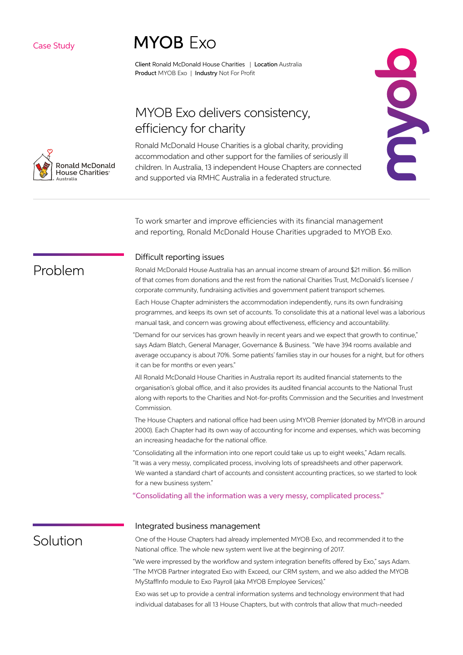### Case Study

# **MYOB Exo**

Client Ronald McDonald House Charities | Location Australia Product MYOB Exo | Industry Not For Profit

## MYOB Exo delivers consistency, efficiency for charity

Ronald McDonald House Charities is a global charity, providing accommodation and other support for the families of seriously ill children. In Australia, 13 independent House Chapters are connected and supported via RMHC Australia in a federated structure.



To work smarter and improve efficiencies with its financial management and reporting, Ronald McDonald House Charities upgraded to MYOB Exo.

### Difficult reporting issues

Ronald McDonald House Australia has an annual income stream of around \$21 million. \$6 million of that comes from donations and the rest from the national Charities Trust, McDonald's licensee / corporate community, fundraising activities and government patient transport schemes.

Each House Chapter administers the accommodation independently, runs its own fundraising programmes, and keeps its own set of accounts. To consolidate this at a national level was a laborious manual task, and concern was growing about effectiveness, efficiency and accountability.

"Demand for our services has grown heavily in recent years and we expect that growth to continue," says Adam Blatch, General Manager, Governance & Business. "We have 394 rooms available and average occupancy is about 70%. Some patients' families stay in our houses for a night, but for others it can be for months or even years."

All Ronald McDonald House Charities in Australia report its audited financial statements to the organisation's global office, and it also provides its audited financial accounts to the National Trust along with reports to the Charities and Not-for-profits Commission and the Securities and Investment Commission.

The House Chapters and national office had been using MYOB Premier (donated by MYOB in around 2000). Each Chapter had its own way of accounting for income and expenses, which was becoming an increasing headache for the national office.

"Consolidating all the information into one report could take us up to eight weeks," Adam recalls. "It was a very messy, complicated process, involving lots of spreadsheets and other paperwork. We wanted a standard chart of accounts and consistent accounting practices, so we started to look for a new business system."

"Consolidating all the information was a very messy, complicated process."

#### Integrated business management

### **Solution**

One of the House Chapters had already implemented MYOB Exo, and recommended it to the National office. The whole new system went live at the beginning of 2017.

"We were impressed by the workflow and system integration benefits offered by Exo," says Adam. "The MYOB Partner integrated Exo with Exceed, our CRM system, and we also added the MYOB MyStaffInfo module to Exo Payroll (aka MYOB Employee Services)."

Exo was set up to provide a central information systems and technology environment that had individual databases for all 13 House Chapters, but with controls that allow that much-needed



Problem